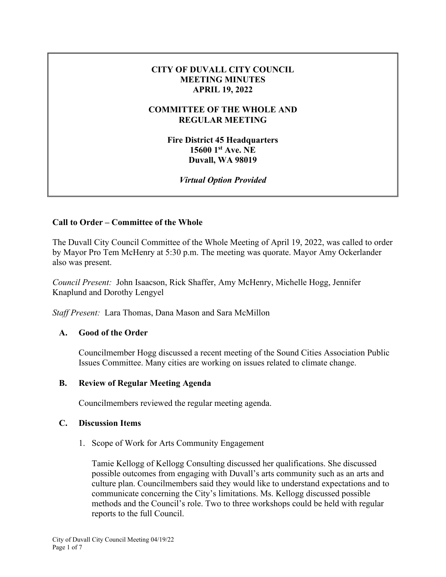## **CITY OF DUVALL CITY COUNCIL MEETING MINUTES APRIL 19, 2022**

## **COMMITTEE OF THE WHOLE AND REGULAR MEETING**

**Fire District 45 Headquarters 15600 1st Ave. NE Duvall, WA 98019** 

*Virtual Option Provided* 

# **Call to Order – Committee of the Whole**

The Duvall City Council Committee of the Whole Meeting of April 19, 2022, was called to order by Mayor Pro Tem McHenry at 5:30 p.m. The meeting was quorate. Mayor Amy Ockerlander also was present.

*Council Present:* John Isaacson, Rick Shaffer, Amy McHenry, Michelle Hogg, Jennifer Knaplund and Dorothy Lengyel

*Staff Present:* Lara Thomas, Dana Mason and Sara McMillon

## **A. Good of the Order**

Councilmember Hogg discussed a recent meeting of the Sound Cities Association Public Issues Committee. Many cities are working on issues related to climate change.

## **B. Review of Regular Meeting Agenda**

Councilmembers reviewed the regular meeting agenda.

## **C. Discussion Items**

1. Scope of Work for Arts Community Engagement

Tamie Kellogg of Kellogg Consulting discussed her qualifications. She discussed possible outcomes from engaging with Duvall's arts community such as an arts and culture plan. Councilmembers said they would like to understand expectations and to communicate concerning the City's limitations. Ms. Kellogg discussed possible methods and the Council's role. Two to three workshops could be held with regular reports to the full Council.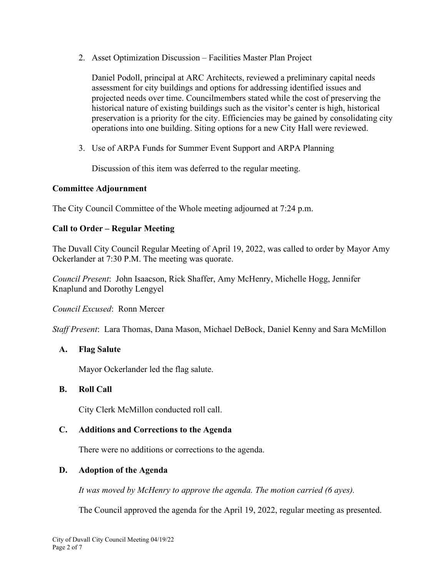2. Asset Optimization Discussion – Facilities Master Plan Project

Daniel Podoll, principal at ARC Architects, reviewed a preliminary capital needs assessment for city buildings and options for addressing identified issues and projected needs over time. Councilmembers stated while the cost of preserving the historical nature of existing buildings such as the visitor's center is high, historical preservation is a priority for the city. Efficiencies may be gained by consolidating city operations into one building. Siting options for a new City Hall were reviewed.

3. Use of ARPA Funds for Summer Event Support and ARPA Planning

Discussion of this item was deferred to the regular meeting.

## **Committee Adjournment**

The City Council Committee of the Whole meeting adjourned at 7:24 p.m.

# **Call to Order – Regular Meeting**

The Duvall City Council Regular Meeting of April 19, 2022, was called to order by Mayor Amy Ockerlander at 7:30 P.M. The meeting was quorate.

*Council Present*: John Isaacson, Rick Shaffer, Amy McHenry, Michelle Hogg, Jennifer Knaplund and Dorothy Lengyel

*Council Excused*: Ronn Mercer

*Staff Present*: Lara Thomas, Dana Mason, Michael DeBock, Daniel Kenny and Sara McMillon

# **A. Flag Salute**

Mayor Ockerlander led the flag salute.

## **B. Roll Call**

City Clerk McMillon conducted roll call.

# **C. Additions and Corrections to the Agenda**

There were no additions or corrections to the agenda.

## **D. Adoption of the Agenda**

*It was moved by McHenry to approve the agenda. The motion carried (6 ayes).*

The Council approved the agenda for the April 19, 2022, regular meeting as presented.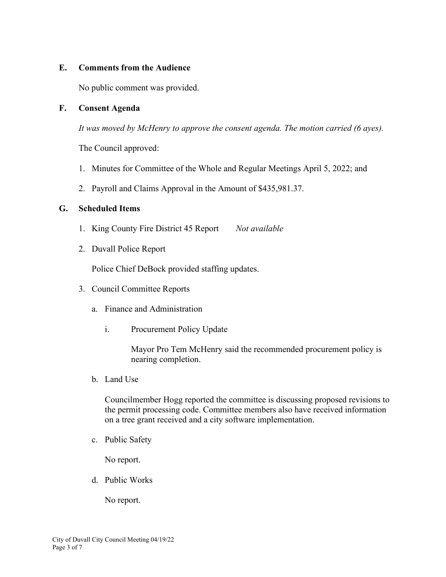## **E. Comments from the Audience**

No public comment was provided.

## **F. Consent Agenda**

*It was moved by McHenry to approve the consent agenda. The motion carried (6 ayes).*

The Council approved:

- 1. Minutes for Committee of the Whole and Regular Meetings April 5, 2022; and
- 2. Payroll and Claims Approval in the Amount of \$435,981.37.

## **G. Scheduled Items**

- 1. King County Fire District 45 Report *Not available*
- 2. Duvall Police Report

Police Chief DeBock provided staffing updates.

- 3. Council Committee Reports
	- a. Finance and Administration
		- i. Procurement Policy Update

Mayor Pro Tem McHenry said the recommended procurement policy is nearing completion.

b. Land Use

Councilmember Hogg reported the committee is discussing proposed revisions to the permit processing code. Committee members also have received information on a tree grant received and a city software implementation.

c. Public Safety

No report.

d. Public Works

No report.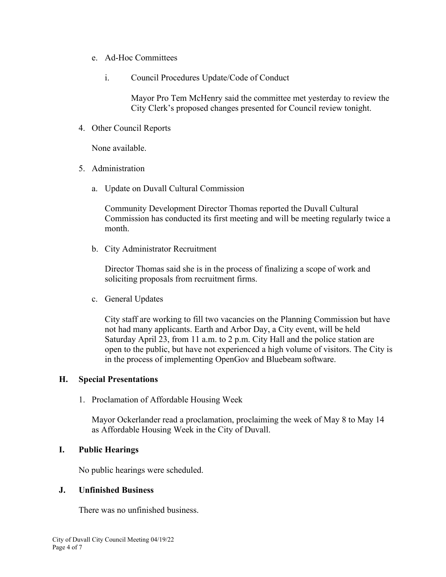- e. Ad-Hoc Committees
	- i. Council Procedures Update/Code of Conduct

Mayor Pro Tem McHenry said the committee met yesterday to review the City Clerk's proposed changes presented for Council review tonight.

4. Other Council Reports

None available.

- 5. Administration
	- a. Update on Duvall Cultural Commission

Community Development Director Thomas reported the Duvall Cultural Commission has conducted its first meeting and will be meeting regularly twice a month.

b. City Administrator Recruitment

Director Thomas said she is in the process of finalizing a scope of work and soliciting proposals from recruitment firms.

c. General Updates

City staff are working to fill two vacancies on the Planning Commission but have not had many applicants. Earth and Arbor Day, a City event, will be held Saturday April 23, from 11 a.m. to 2 p.m. City Hall and the police station are open to the public, but have not experienced a high volume of visitors. The City is in the process of implementing OpenGov and Bluebeam software.

## **H. Special Presentations**

1. Proclamation of Affordable Housing Week

Mayor Ockerlander read a proclamation, proclaiming the week of May 8 to May 14 as Affordable Housing Week in the City of Duvall.

## **I. Public Hearings**

No public hearings were scheduled.

## **J. Unfinished Business**

There was no unfinished business.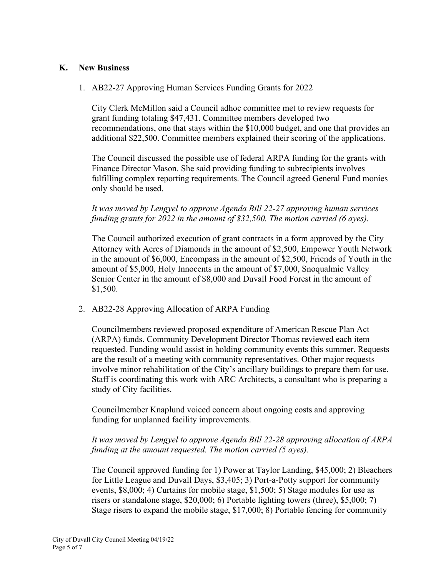## **K. New Business**

1. AB22-27 Approving Human Services Funding Grants for 2022

City Clerk McMillon said a Council adhoc committee met to review requests for grant funding totaling \$47,431. Committee members developed two recommendations, one that stays within the \$10,000 budget, and one that provides an additional \$22,500. Committee members explained their scoring of the applications.

The Council discussed the possible use of federal ARPA funding for the grants with Finance Director Mason. She said providing funding to subrecipients involves fulfilling complex reporting requirements. The Council agreed General Fund monies only should be used.

*It was moved by Lengyel to approve Agenda Bill 22-27 approving human services funding grants for 2022 in the amount of \$32,500. The motion carried (6 ayes).*

The Council authorized execution of grant contracts in a form approved by the City Attorney with Acres of Diamonds in the amount of \$2,500, Empower Youth Network in the amount of \$6,000, Encompass in the amount of \$2,500, Friends of Youth in the amount of \$5,000, Holy Innocents in the amount of \$7,000, Snoqualmie Valley Senior Center in the amount of \$8,000 and Duvall Food Forest in the amount of \$1,500.

2. AB22-28 Approving Allocation of ARPA Funding

Councilmembers reviewed proposed expenditure of American Rescue Plan Act (ARPA) funds. Community Development Director Thomas reviewed each item requested. Funding would assist in holding community events this summer. Requests are the result of a meeting with community representatives. Other major requests involve minor rehabilitation of the City's ancillary buildings to prepare them for use. Staff is coordinating this work with ARC Architects, a consultant who is preparing a study of City facilities.

Councilmember Knaplund voiced concern about ongoing costs and approving funding for unplanned facility improvements.

# *It was moved by Lengyel to approve Agenda Bill 22-28 approving allocation of ARPA funding at the amount requested. The motion carried (5 ayes).*

The Council approved funding for 1) Power at Taylor Landing, \$45,000; 2) Bleachers for Little League and Duvall Days, \$3,405; 3) Port-a-Potty support for community events, \$8,000; 4) Curtains for mobile stage, \$1,500; 5) Stage modules for use as risers or standalone stage, \$20,000; 6) Portable lighting towers (three), \$5,000; 7) Stage risers to expand the mobile stage, \$17,000; 8) Portable fencing for community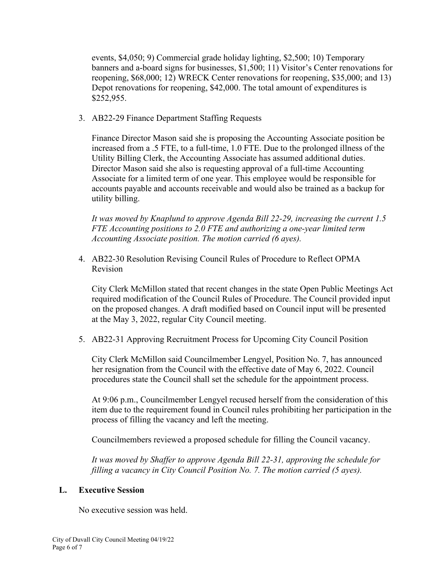events, \$4,050; 9) Commercial grade holiday lighting, \$2,500; 10) Temporary banners and a-board signs for businesses, \$1,500; 11) Visitor's Center renovations for reopening, \$68,000; 12) WRECK Center renovations for reopening, \$35,000; and 13) Depot renovations for reopening, \$42,000. The total amount of expenditures is \$252,955.

3. AB22-29 Finance Department Staffing Requests

Finance Director Mason said she is proposing the Accounting Associate position be increased from a .5 FTE, to a full-time, 1.0 FTE. Due to the prolonged illness of the Utility Billing Clerk, the Accounting Associate has assumed additional duties. Director Mason said she also is requesting approval of a full-time Accounting Associate for a limited term of one year. This employee would be responsible for accounts payable and accounts receivable and would also be trained as a backup for utility billing.

*It was moved by Knaplund to approve Agenda Bill 22-29, increasing the current 1.5 FTE Accounting positions to 2.0 FTE and authorizing a one-year limited term Accounting Associate position. The motion carried (6 ayes).*

4. AB22-30 Resolution Revising Council Rules of Procedure to Reflect OPMA Revision

City Clerk McMillon stated that recent changes in the state Open Public Meetings Act required modification of the Council Rules of Procedure. The Council provided input on the proposed changes. A draft modified based on Council input will be presented at the May 3, 2022, regular City Council meeting.

5. AB22-31 Approving Recruitment Process for Upcoming City Council Position

City Clerk McMillon said Councilmember Lengyel, Position No. 7, has announced her resignation from the Council with the effective date of May 6, 2022. Council procedures state the Council shall set the schedule for the appointment process.

At 9:06 p.m., Councilmember Lengyel recused herself from the consideration of this item due to the requirement found in Council rules prohibiting her participation in the process of filling the vacancy and left the meeting.

Councilmembers reviewed a proposed schedule for filling the Council vacancy.

*It was moved by Shaffer to approve Agenda Bill 22-31, approving the schedule for filling a vacancy in City Council Position No. 7. The motion carried (5 ayes).*

# **L. Executive Session**

No executive session was held.